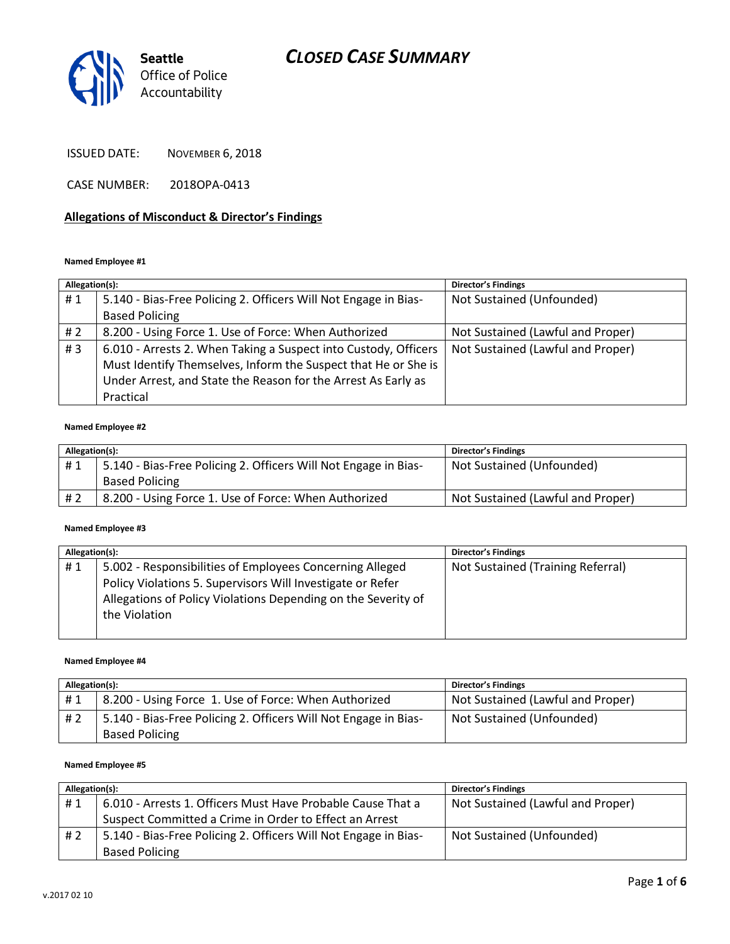

ISSUED DATE: NOVEMBER 6, 2018

CASE NUMBER: 2018OPA-0413

### **Allegations of Misconduct & Director's Findings**

### **Named Employee #1**

| Allegation(s): |                                                                 | <b>Director's Findings</b>        |
|----------------|-----------------------------------------------------------------|-----------------------------------|
| #1             | 5.140 - Bias-Free Policing 2. Officers Will Not Engage in Bias- | Not Sustained (Unfounded)         |
|                | <b>Based Policing</b>                                           |                                   |
| # 2            | 8.200 - Using Force 1. Use of Force: When Authorized            | Not Sustained (Lawful and Proper) |
| #3             | 6.010 - Arrests 2. When Taking a Suspect into Custody, Officers | Not Sustained (Lawful and Proper) |
|                | Must Identify Themselves, Inform the Suspect that He or She is  |                                   |
|                | Under Arrest, and State the Reason for the Arrest As Early as   |                                   |
|                | Practical                                                       |                                   |

#### **Named Employee #2**

| Allegation(s): |                                                                 | Director's Findings               |
|----------------|-----------------------------------------------------------------|-----------------------------------|
| #1             | 5.140 - Bias-Free Policing 2. Officers Will Not Engage in Bias- | Not Sustained (Unfounded)         |
|                | <b>Based Policing</b>                                           |                                   |
| #2             | 8.200 - Using Force 1. Use of Force: When Authorized            | Not Sustained (Lawful and Proper) |

#### **Named Employee #3**

| Allegation(s): |                                                               | <b>Director's Findings</b>        |
|----------------|---------------------------------------------------------------|-----------------------------------|
| #1             | 5.002 - Responsibilities of Employees Concerning Alleged      | Not Sustained (Training Referral) |
|                | Policy Violations 5. Supervisors Will Investigate or Refer    |                                   |
|                | Allegations of Policy Violations Depending on the Severity of |                                   |
|                | the Violation                                                 |                                   |
|                |                                                               |                                   |

#### **Named Employee #4**

| Allegation(s): |                                                                 | Director's Findings               |
|----------------|-----------------------------------------------------------------|-----------------------------------|
| #1             | 8.200 - Using Force 1. Use of Force: When Authorized            | Not Sustained (Lawful and Proper) |
| #2             | 5.140 - Bias-Free Policing 2. Officers Will Not Engage in Bias- | Not Sustained (Unfounded)         |
|                | <b>Based Policing</b>                                           |                                   |

#### **Named Employee #5**

| Allegation(s): |                                                                 | <b>Director's Findings</b>        |
|----------------|-----------------------------------------------------------------|-----------------------------------|
| #1             | 6.010 - Arrests 1. Officers Must Have Probable Cause That a     | Not Sustained (Lawful and Proper) |
|                | Suspect Committed a Crime in Order to Effect an Arrest          |                                   |
| #2             | 5.140 - Bias-Free Policing 2. Officers Will Not Engage in Bias- | Not Sustained (Unfounded)         |
|                | <b>Based Policing</b>                                           |                                   |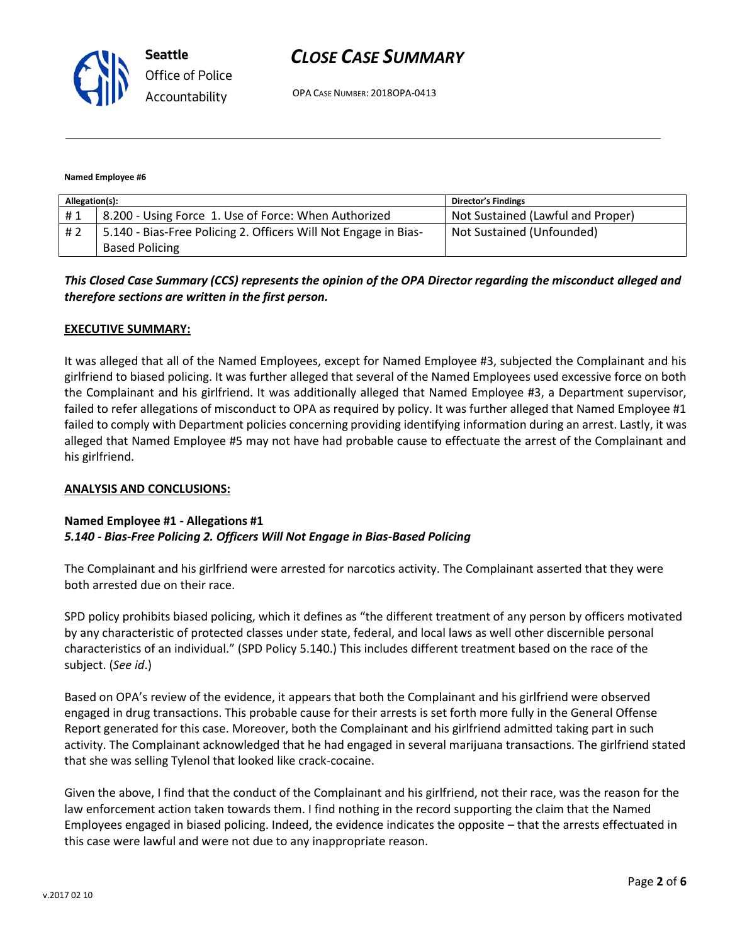

OPA CASE NUMBER: 2018OPA-0413

#### **Named Employee #6**

| Allegation(s): |                                                                 | <b>Director's Findings</b>        |
|----------------|-----------------------------------------------------------------|-----------------------------------|
| #1             | 8.200 - Using Force 1. Use of Force: When Authorized            | Not Sustained (Lawful and Proper) |
| # 2            | 5.140 - Bias-Free Policing 2. Officers Will Not Engage in Bias- | Not Sustained (Unfounded)         |
|                | <b>Based Policing</b>                                           |                                   |

*This Closed Case Summary (CCS) represents the opinion of the OPA Director regarding the misconduct alleged and therefore sections are written in the first person.* 

### **EXECUTIVE SUMMARY:**

It was alleged that all of the Named Employees, except for Named Employee #3, subjected the Complainant and his girlfriend to biased policing. It was further alleged that several of the Named Employees used excessive force on both the Complainant and his girlfriend. It was additionally alleged that Named Employee #3, a Department supervisor, failed to refer allegations of misconduct to OPA as required by policy. It was further alleged that Named Employee #1 failed to comply with Department policies concerning providing identifying information during an arrest. Lastly, it was alleged that Named Employee #5 may not have had probable cause to effectuate the arrest of the Complainant and his girlfriend.

### **ANALYSIS AND CONCLUSIONS:**

### **Named Employee #1 - Allegations #1** *5.140 - Bias-Free Policing 2. Officers Will Not Engage in Bias-Based Policing*

The Complainant and his girlfriend were arrested for narcotics activity. The Complainant asserted that they were both arrested due on their race.

SPD policy prohibits biased policing, which it defines as "the different treatment of any person by officers motivated by any characteristic of protected classes under state, federal, and local laws as well other discernible personal characteristics of an individual." (SPD Policy 5.140.) This includes different treatment based on the race of the subject. (*See id*.)

Based on OPA's review of the evidence, it appears that both the Complainant and his girlfriend were observed engaged in drug transactions. This probable cause for their arrests is set forth more fully in the General Offense Report generated for this case. Moreover, both the Complainant and his girlfriend admitted taking part in such activity. The Complainant acknowledged that he had engaged in several marijuana transactions. The girlfriend stated that she was selling Tylenol that looked like crack-cocaine.

Given the above, I find that the conduct of the Complainant and his girlfriend, not their race, was the reason for the law enforcement action taken towards them. I find nothing in the record supporting the claim that the Named Employees engaged in biased policing. Indeed, the evidence indicates the opposite – that the arrests effectuated in this case were lawful and were not due to any inappropriate reason.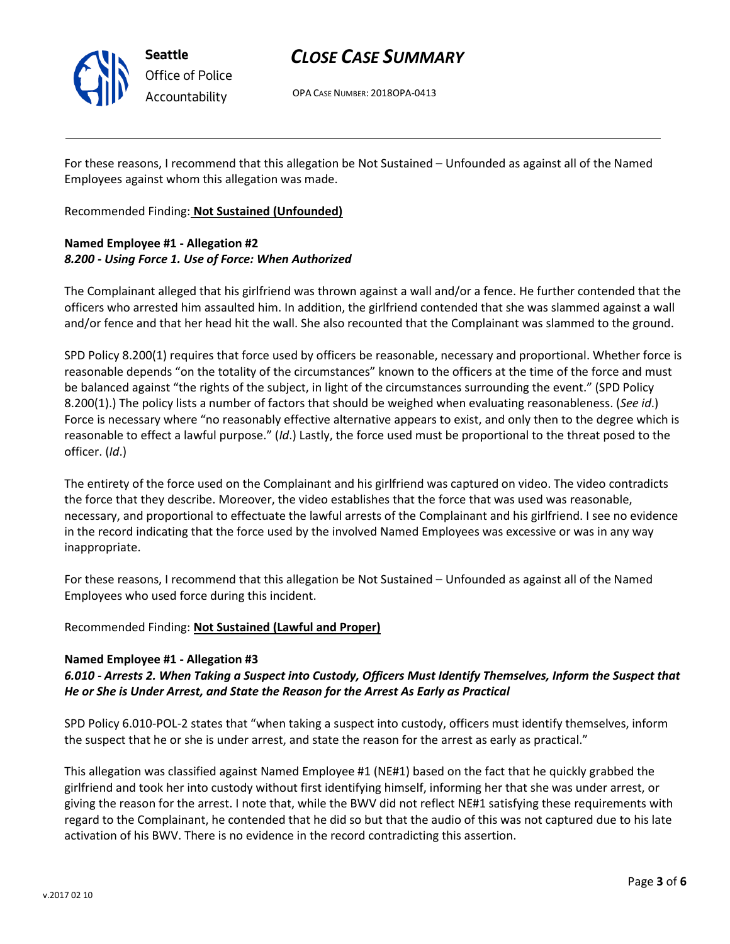

OPA CASE NUMBER: 2018OPA-0413

For these reasons, I recommend that this allegation be Not Sustained – Unfounded as against all of the Named Employees against whom this allegation was made.

Recommended Finding: **Not Sustained (Unfounded)**

# **Named Employee #1 - Allegation #2** *8.200 - Using Force 1. Use of Force: When Authorized*

The Complainant alleged that his girlfriend was thrown against a wall and/or a fence. He further contended that the officers who arrested him assaulted him. In addition, the girlfriend contended that she was slammed against a wall and/or fence and that her head hit the wall. She also recounted that the Complainant was slammed to the ground.

SPD Policy 8.200(1) requires that force used by officers be reasonable, necessary and proportional. Whether force is reasonable depends "on the totality of the circumstances" known to the officers at the time of the force and must be balanced against "the rights of the subject, in light of the circumstances surrounding the event." (SPD Policy 8.200(1).) The policy lists a number of factors that should be weighed when evaluating reasonableness. (*See id*.) Force is necessary where "no reasonably effective alternative appears to exist, and only then to the degree which is reasonable to effect a lawful purpose." (*Id*.) Lastly, the force used must be proportional to the threat posed to the officer. (*Id*.)

The entirety of the force used on the Complainant and his girlfriend was captured on video. The video contradicts the force that they describe. Moreover, the video establishes that the force that was used was reasonable, necessary, and proportional to effectuate the lawful arrests of the Complainant and his girlfriend. I see no evidence in the record indicating that the force used by the involved Named Employees was excessive or was in any way inappropriate.

For these reasons, I recommend that this allegation be Not Sustained – Unfounded as against all of the Named Employees who used force during this incident.

Recommended Finding: **Not Sustained (Lawful and Proper)**

### **Named Employee #1 - Allegation #3**

## *6.010 - Arrests 2. When Taking a Suspect into Custody, Officers Must Identify Themselves, Inform the Suspect that He or She is Under Arrest, and State the Reason for the Arrest As Early as Practical*

SPD Policy 6.010-POL-2 states that "when taking a suspect into custody, officers must identify themselves, inform the suspect that he or she is under arrest, and state the reason for the arrest as early as practical."

This allegation was classified against Named Employee #1 (NE#1) based on the fact that he quickly grabbed the girlfriend and took her into custody without first identifying himself, informing her that she was under arrest, or giving the reason for the arrest. I note that, while the BWV did not reflect NE#1 satisfying these requirements with regard to the Complainant, he contended that he did so but that the audio of this was not captured due to his late activation of his BWV. There is no evidence in the record contradicting this assertion.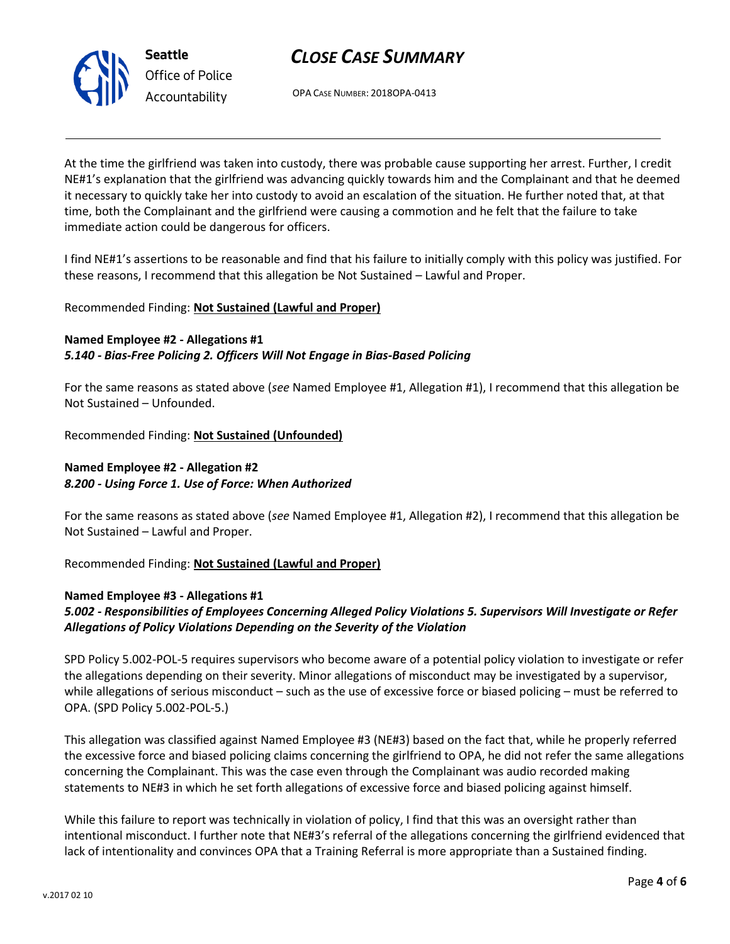

OPA CASE NUMBER: 2018OPA-0413

At the time the girlfriend was taken into custody, there was probable cause supporting her arrest. Further, I credit NE#1's explanation that the girlfriend was advancing quickly towards him and the Complainant and that he deemed it necessary to quickly take her into custody to avoid an escalation of the situation. He further noted that, at that time, both the Complainant and the girlfriend were causing a commotion and he felt that the failure to take immediate action could be dangerous for officers.

I find NE#1's assertions to be reasonable and find that his failure to initially comply with this policy was justified. For these reasons, I recommend that this allegation be Not Sustained – Lawful and Proper.

## Recommended Finding: **Not Sustained (Lawful and Proper)**

**Named Employee #2 - Allegations #1** *5.140 - Bias-Free Policing 2. Officers Will Not Engage in Bias-Based Policing*

For the same reasons as stated above (*see* Named Employee #1, Allegation #1), I recommend that this allegation be Not Sustained – Unfounded.

Recommended Finding: **Not Sustained (Unfounded)**

# **Named Employee #2 - Allegation #2** *8.200 - Using Force 1. Use of Force: When Authorized*

For the same reasons as stated above (*see* Named Employee #1, Allegation #2), I recommend that this allegation be Not Sustained – Lawful and Proper.

Recommended Finding: **Not Sustained (Lawful and Proper)**

### **Named Employee #3 - Allegations #1**

# *5.002 - Responsibilities of Employees Concerning Alleged Policy Violations 5. Supervisors Will Investigate or Refer Allegations of Policy Violations Depending on the Severity of the Violation*

SPD Policy 5.002-POL-5 requires supervisors who become aware of a potential policy violation to investigate or refer the allegations depending on their severity. Minor allegations of misconduct may be investigated by a supervisor, while allegations of serious misconduct – such as the use of excessive force or biased policing – must be referred to OPA. (SPD Policy 5.002-POL-5.)

This allegation was classified against Named Employee #3 (NE#3) based on the fact that, while he properly referred the excessive force and biased policing claims concerning the girlfriend to OPA, he did not refer the same allegations concerning the Complainant. This was the case even through the Complainant was audio recorded making statements to NE#3 in which he set forth allegations of excessive force and biased policing against himself.

While this failure to report was technically in violation of policy, I find that this was an oversight rather than intentional misconduct. I further note that NE#3's referral of the allegations concerning the girlfriend evidenced that lack of intentionality and convinces OPA that a Training Referral is more appropriate than a Sustained finding.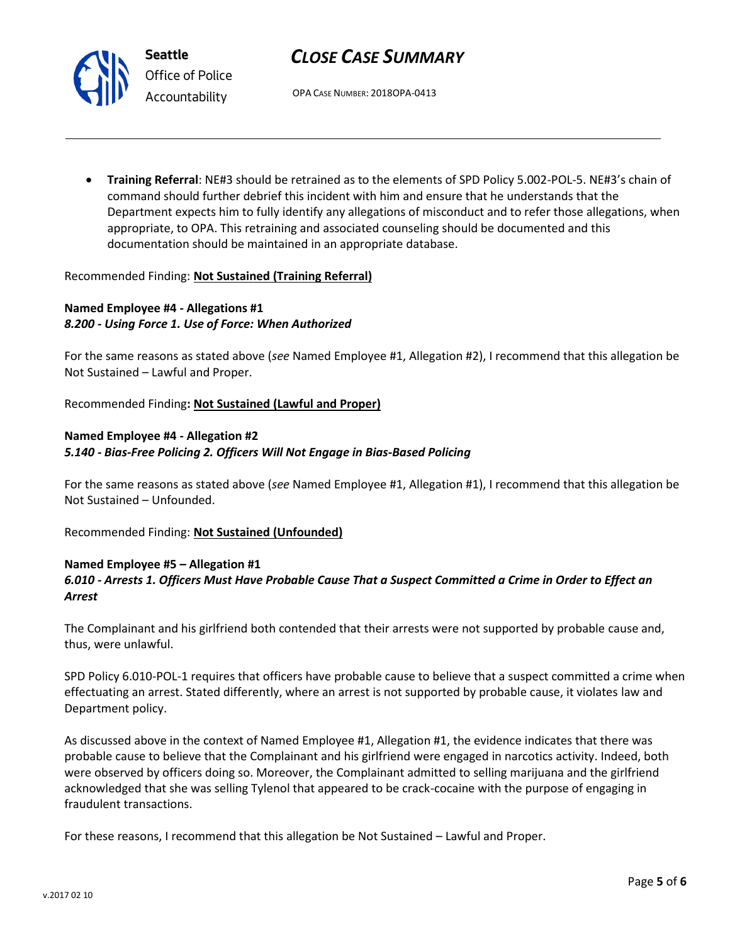OPA CASE NUMBER: 2018OPA-0413

• **Training Referral**: NE#3 should be retrained as to the elements of SPD Policy 5.002-POL-5. NE#3's chain of command should further debrief this incident with him and ensure that he understands that the Department expects him to fully identify any allegations of misconduct and to refer those allegations, when appropriate, to OPA. This retraining and associated counseling should be documented and this documentation should be maintained in an appropriate database.

### Recommended Finding: **Not Sustained (Training Referral)**

## **Named Employee #4 - Allegations #1** *8.200 - Using Force 1. Use of Force: When Authorized*

For the same reasons as stated above (*see* Named Employee #1, Allegation #2), I recommend that this allegation be Not Sustained – Lawful and Proper.

Recommended Finding**: Not Sustained (Lawful and Proper)**

### **Named Employee #4 - Allegation #2** *5.140 - Bias-Free Policing 2. Officers Will Not Engage in Bias-Based Policing*

For the same reasons as stated above (*see* Named Employee #1, Allegation #1), I recommend that this allegation be Not Sustained – Unfounded.

Recommended Finding: **Not Sustained (Unfounded)**

## **Named Employee #5 – Allegation #1** *6.010 - Arrests 1. Officers Must Have Probable Cause That a Suspect Committed a Crime in Order to Effect an Arrest*

The Complainant and his girlfriend both contended that their arrests were not supported by probable cause and, thus, were unlawful.

SPD Policy 6.010-POL-1 requires that officers have probable cause to believe that a suspect committed a crime when effectuating an arrest. Stated differently, where an arrest is not supported by probable cause, it violates law and Department policy.

As discussed above in the context of Named Employee #1, Allegation #1, the evidence indicates that there was probable cause to believe that the Complainant and his girlfriend were engaged in narcotics activity. Indeed, both were observed by officers doing so. Moreover, the Complainant admitted to selling marijuana and the girlfriend acknowledged that she was selling Tylenol that appeared to be crack-cocaine with the purpose of engaging in fraudulent transactions.

For these reasons, I recommend that this allegation be Not Sustained – Lawful and Proper.



**Seattle** *Office of Police Accountability*